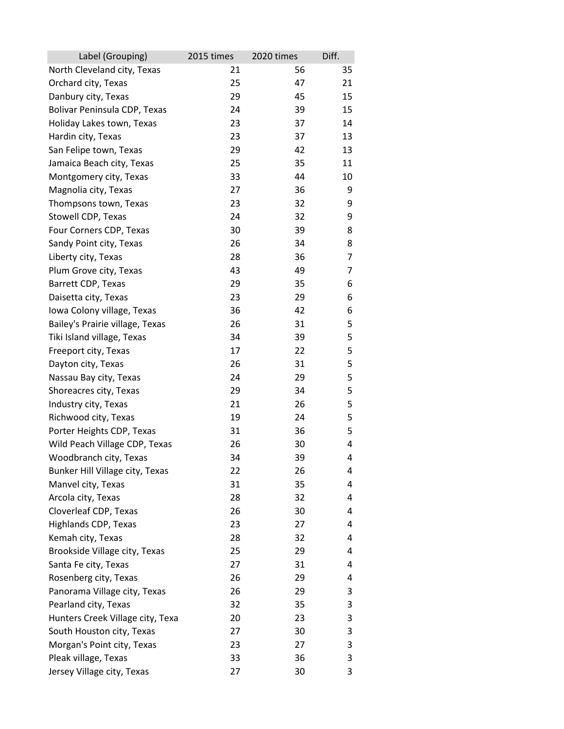| Label (Grouping)                 | 2015 times | 2020 times | Diff. |
|----------------------------------|------------|------------|-------|
| North Cleveland city, Texas      | 21         | 56         | 35    |
| Orchard city, Texas              | 25         | 47         | 21    |
| Danbury city, Texas              | 29         | 45         | 15    |
| Bolivar Peninsula CDP, Texas     | 24         | 39         | 15    |
| Holiday Lakes town, Texas        | 23         | 37         | 14    |
| Hardin city, Texas               | 23         | 37         | 13    |
| San Felipe town, Texas           | 29         | 42         | 13    |
| Jamaica Beach city, Texas        | 25         | 35         | 11    |
| Montgomery city, Texas           | 33         | 44         | 10    |
| Magnolia city, Texas             | 27         | 36         | 9     |
| Thompsons town, Texas            | 23         | 32         | 9     |
| Stowell CDP, Texas               | 24         | 32         | 9     |
| Four Corners CDP, Texas          | 30         | 39         | 8     |
| Sandy Point city, Texas          | 26         | 34         | 8     |
| Liberty city, Texas              | 28         | 36         | 7     |
| Plum Grove city, Texas           | 43         | 49         | 7     |
| Barrett CDP, Texas               | 29         | 35         | 6     |
| Daisetta city, Texas             | 23         | 29         | 6     |
| Iowa Colony village, Texas       | 36         | 42         | 6     |
| Bailey's Prairie village, Texas  | 26         | 31         | 5     |
| Tiki Island village, Texas       | 34         | 39         | 5     |
| Freeport city, Texas             | 17         | 22         | 5     |
| Dayton city, Texas               | 26         | 31         | 5     |
| Nassau Bay city, Texas           | 24         | 29         | 5     |
| Shoreacres city, Texas           | 29         | 34         | 5     |
| Industry city, Texas             | 21         | 26         | 5     |
| Richwood city, Texas             | 19         | 24         | 5     |
| Porter Heights CDP, Texas        | 31         | 36         | 5     |
| Wild Peach Village CDP, Texas    | 26         | 30         | 4     |
| Woodbranch city, Texas           | 34         | 39         | 4     |
| Bunker Hill Village city, Texas  | 22         | 26         | 4     |
| Manvel city, Texas               | 31         | 35         | 4     |
| Arcola city, Texas               | 28         | 32         | 4     |
| Cloverleaf CDP, Texas            | 26         | 30         | 4     |
| Highlands CDP, Texas             | 23         | 27         | 4     |
| Kemah city, Texas                | 28         | 32         | 4     |
| Brookside Village city, Texas    | 25         | 29         | 4     |
| Santa Fe city, Texas             | 27         | 31         | 4     |
| Rosenberg city, Texas            | 26         | 29         | 4     |
| Panorama Village city, Texas     | 26         | 29         | 3     |
| Pearland city, Texas             | 32         | 35         | 3     |
| Hunters Creek Village city, Texa | 20         | 23         | 3     |
| South Houston city, Texas        | 27         | 30         | 3     |
| Morgan's Point city, Texas       | 23         | 27         | 3     |
| Pleak village, Texas             | 33         | 36         | 3     |
| Jersey Village city, Texas       | 27         | 30         | 3     |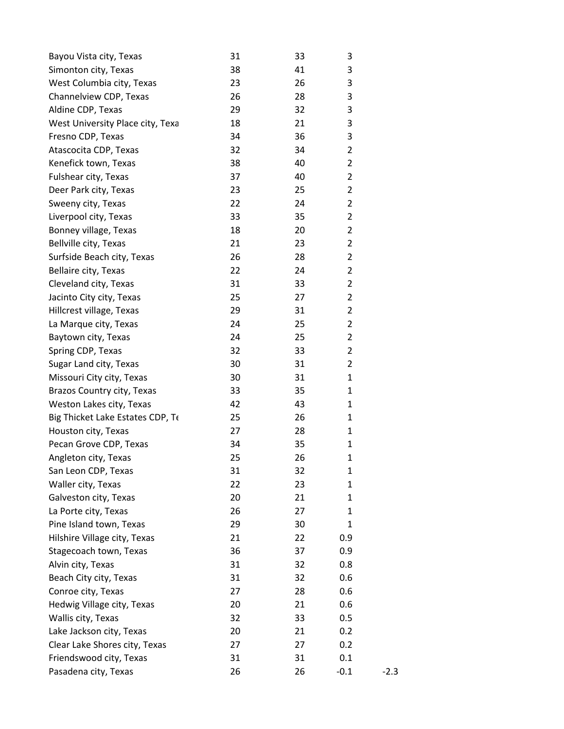| Bayou Vista city, Texas          | 31 | 33 | 3              |        |
|----------------------------------|----|----|----------------|--------|
| Simonton city, Texas             | 38 | 41 | 3              |        |
| West Columbia city, Texas        | 23 | 26 | 3              |        |
| Channelview CDP, Texas           | 26 | 28 | 3              |        |
| Aldine CDP, Texas                | 29 | 32 | 3              |        |
| West University Place city, Texa | 18 | 21 | 3              |        |
| Fresno CDP, Texas                | 34 | 36 | 3              |        |
| Atascocita CDP, Texas            | 32 | 34 | $\overline{2}$ |        |
| Kenefick town, Texas             | 38 | 40 | $\overline{2}$ |        |
| Fulshear city, Texas             | 37 | 40 | $\overline{2}$ |        |
| Deer Park city, Texas            | 23 | 25 | $\overline{2}$ |        |
| Sweeny city, Texas               | 22 | 24 | $\overline{2}$ |        |
| Liverpool city, Texas            | 33 | 35 | $\overline{2}$ |        |
| Bonney village, Texas            | 18 | 20 | $\overline{2}$ |        |
| Bellville city, Texas            | 21 | 23 | $\overline{2}$ |        |
| Surfside Beach city, Texas       | 26 | 28 | $\overline{2}$ |        |
| Bellaire city, Texas             | 22 | 24 | $\overline{2}$ |        |
| Cleveland city, Texas            | 31 | 33 | $\overline{2}$ |        |
| Jacinto City city, Texas         | 25 | 27 | $\overline{2}$ |        |
| Hillcrest village, Texas         | 29 | 31 | $\overline{2}$ |        |
| La Marque city, Texas            | 24 | 25 | $\overline{2}$ |        |
| Baytown city, Texas              | 24 | 25 | $\overline{2}$ |        |
| Spring CDP, Texas                | 32 | 33 | $\overline{2}$ |        |
| Sugar Land city, Texas           | 30 | 31 | $\overline{2}$ |        |
| Missouri City city, Texas        | 30 | 31 | $\mathbf{1}$   |        |
| Brazos Country city, Texas       | 33 | 35 | 1              |        |
| Weston Lakes city, Texas         | 42 | 43 | $\mathbf 1$    |        |
| Big Thicket Lake Estates CDP, Te | 25 | 26 | 1              |        |
| Houston city, Texas              | 27 | 28 | 1              |        |
| Pecan Grove CDP, Texas           | 34 | 35 | 1              |        |
| Angleton city, Texas             | 25 | 26 | $\mathbf{1}$   |        |
| San Leon CDP, Texas              | 31 | 32 | $\mathbf{1}$   |        |
| Waller city, Texas               | 22 | 23 | 1              |        |
| Galveston city, Texas            | 20 | 21 | 1              |        |
| La Porte city, Texas             | 26 | 27 | 1              |        |
| Pine Island town, Texas          | 29 | 30 | 1              |        |
| Hilshire Village city, Texas     | 21 | 22 | 0.9            |        |
| Stagecoach town, Texas           | 36 | 37 | 0.9            |        |
| Alvin city, Texas                | 31 | 32 | 0.8            |        |
| Beach City city, Texas           | 31 | 32 | 0.6            |        |
| Conroe city, Texas               | 27 | 28 | 0.6            |        |
| Hedwig Village city, Texas       | 20 | 21 | 0.6            |        |
| Wallis city, Texas               | 32 | 33 | 0.5            |        |
| Lake Jackson city, Texas         | 20 | 21 | 0.2            |        |
| Clear Lake Shores city, Texas    | 27 | 27 | 0.2            |        |
| Friendswood city, Texas          | 31 | 31 | 0.1            |        |
| Pasadena city, Texas             | 26 | 26 | $-0.1$         | $-2.3$ |
|                                  |    |    |                |        |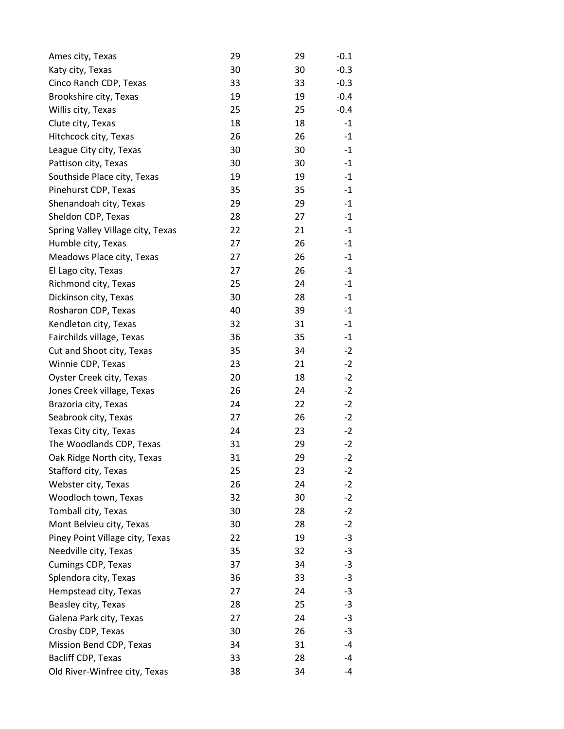| Ames city, Texas                  | 29 | 29 | $-0.1$ |
|-----------------------------------|----|----|--------|
| Katy city, Texas                  | 30 | 30 | $-0.3$ |
| Cinco Ranch CDP, Texas            | 33 | 33 | $-0.3$ |
| Brookshire city, Texas            | 19 | 19 | $-0.4$ |
| Willis city, Texas                | 25 | 25 | $-0.4$ |
| Clute city, Texas                 | 18 | 18 | $-1$   |
| Hitchcock city, Texas             | 26 | 26 | $-1$   |
| League City city, Texas           | 30 | 30 | $-1$   |
| Pattison city, Texas              | 30 | 30 | $-1$   |
| Southside Place city, Texas       | 19 | 19 | $-1$   |
| Pinehurst CDP, Texas              | 35 | 35 | $-1$   |
| Shenandoah city, Texas            | 29 | 29 | $-1$   |
| Sheldon CDP, Texas                | 28 | 27 | $-1$   |
| Spring Valley Village city, Texas | 22 | 21 | $-1$   |
| Humble city, Texas                | 27 | 26 | $-1$   |
| Meadows Place city, Texas         | 27 | 26 | $-1$   |
| El Lago city, Texas               | 27 | 26 | $-1$   |
| Richmond city, Texas              | 25 | 24 | $-1$   |
| Dickinson city, Texas             | 30 | 28 | $-1$   |
| Rosharon CDP, Texas               | 40 | 39 | $-1$   |
| Kendleton city, Texas             | 32 | 31 | $-1$   |
| Fairchilds village, Texas         | 36 | 35 | $-1$   |
| Cut and Shoot city, Texas         | 35 | 34 | $-2$   |
| Winnie CDP, Texas                 | 23 | 21 | $-2$   |
| Oyster Creek city, Texas          | 20 | 18 | $-2$   |
| Jones Creek village, Texas        | 26 | 24 | $-2$   |
| Brazoria city, Texas              | 24 | 22 | $-2$   |
| Seabrook city, Texas              | 27 | 26 | $-2$   |
| Texas City city, Texas            | 24 | 23 | $-2$   |
| The Woodlands CDP, Texas          | 31 | 29 | $-2$   |
| Oak Ridge North city, Texas       | 31 | 29 | $-2$   |
| Stafford city, Texas              | 25 | 23 | $-2$   |
| Webster city, Texas               | 26 | 24 | $-2$   |
| Woodloch town, Texas              | 32 | 30 | $-2$   |
| Tomball city, Texas               | 30 | 28 | $-2$   |
| Mont Belvieu city, Texas          | 30 | 28 | $-2$   |
| Piney Point Village city, Texas   | 22 | 19 | $-3$   |
| Needville city, Texas             | 35 | 32 | $-3$   |
| <b>Cumings CDP, Texas</b>         | 37 | 34 | -3     |
| Splendora city, Texas             | 36 | 33 | $-3$   |
| Hempstead city, Texas             | 27 | 24 | $-3$   |
| Beasley city, Texas               | 28 | 25 | -3     |
| Galena Park city, Texas           | 27 | 24 | $-3$   |
| Crosby CDP, Texas                 | 30 | 26 | -3     |
| Mission Bend CDP, Texas           | 34 | 31 | -4     |
| Bacliff CDP, Texas                | 33 | 28 | -4     |
| Old River-Winfree city, Texas     | 38 | 34 | $-4$   |